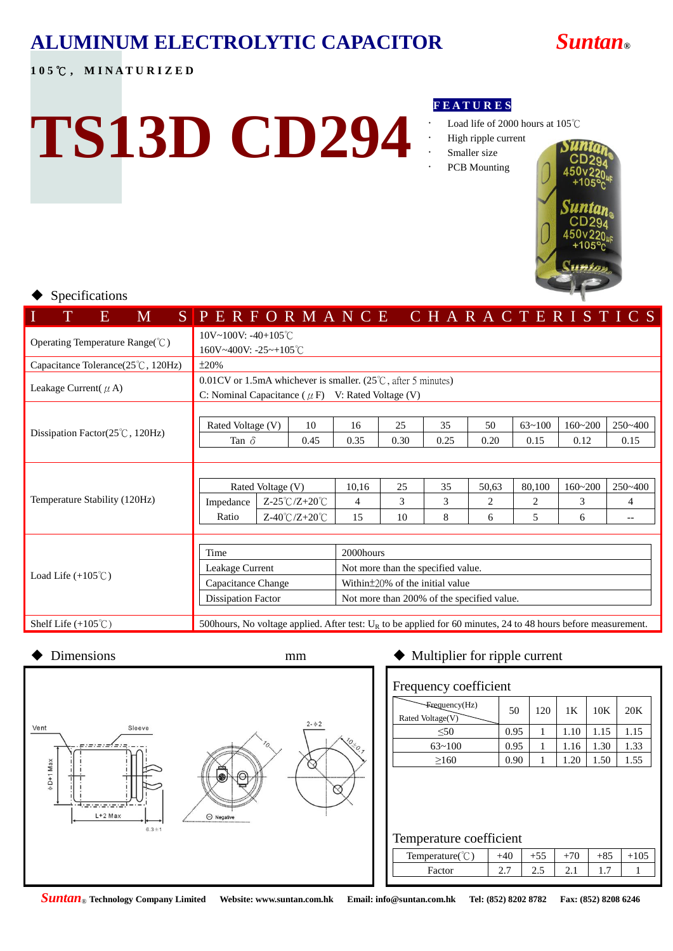# **ALUMINUM ELECTROLYTIC CAPACITOR** *Suntan***®**

**TS13D CD294**

# **1 0 5** ℃ **, M I N A T U R I Z E D**

#### **F E A T U R E S**

- Load life of 2000 hours at 105℃
- High ripple current
	- Smaller size
	- PCB Mounting



### Specifications

| M<br>E                                                  | SPERFORMANCE CHARACTERISTICS                                                                                      |                                            |      |                                       |      |   |      |                |   |            |             |       |             |
|---------------------------------------------------------|-------------------------------------------------------------------------------------------------------------------|--------------------------------------------|------|---------------------------------------|------|---|------|----------------|---|------------|-------------|-------|-------------|
| Operating Temperature Range(°C)                         | $10V~100V$ : -40+105°C                                                                                            |                                            |      |                                       |      |   |      |                |   |            |             |       |             |
|                                                         | 160V~400V: -25~+105°C                                                                                             |                                            |      |                                       |      |   |      |                |   |            |             |       |             |
| Capacitance Tolerance(25°C, 120Hz)                      | ±20%                                                                                                              |                                            |      |                                       |      |   |      |                |   |            |             |       |             |
|                                                         | $0.01$ CV or 1.5mA whichever is smaller. (25 <sup>°</sup> C, after 5 minutes)                                     |                                            |      |                                       |      |   |      |                |   |            |             |       |             |
| Leakage Current( $\mu$ A)                               | C: Nominal Capacitance ( $\mu$ F) V: Rated Voltage (V)                                                            |                                            |      |                                       |      |   |      |                |   |            |             |       |             |
|                                                         |                                                                                                                   |                                            |      |                                       |      |   |      |                |   |            |             |       |             |
|                                                         | Rated Voltage (V)                                                                                                 |                                            | 10   | 16                                    | 25   |   | 35   | 50             |   | $63 - 100$ | $160 - 200$ |       | $250 - 400$ |
| Dissipation Factor $(25^{\circ}\text{C}, 120\text{Hz})$ | Tan $\delta$                                                                                                      |                                            | 0.45 | 0.35                                  | 0.30 |   | 0.25 | 0.20           |   | 0.15       | 0.12        |       | 0.15        |
|                                                         |                                                                                                                   |                                            |      |                                       |      |   |      |                |   |            |             |       |             |
|                                                         |                                                                                                                   |                                            |      |                                       |      |   |      |                |   |            |             |       |             |
|                                                         | Rated Voltage (V)                                                                                                 |                                            |      | 10,16                                 | 25   |   | 35   | 50,63          |   | 80.100     | $160 - 200$ |       | $250 - 400$ |
| Temperature Stability (120Hz)                           | Impedance                                                                                                         | $Z-25^{\circ}C/Z+20^{\circ}C$              |      | 4                                     | 3    |   | 3    | $\overline{c}$ |   | 2          | 3           |       | 4           |
|                                                         | $Z-40^{\circ}C/Z+20^{\circ}C$<br>Ratio                                                                            |                                            | 15   | 10                                    |      | 8 | 6    |                | 5 | 6          |             | $- -$ |             |
|                                                         |                                                                                                                   |                                            |      |                                       |      |   |      |                |   |            |             |       |             |
|                                                         | Time                                                                                                              |                                            |      | 2000hours                             |      |   |      |                |   |            |             |       |             |
|                                                         | Leakage Current                                                                                                   |                                            |      | Not more than the specified value.    |      |   |      |                |   |            |             |       |             |
| Load Life $(+105^{\circ}$ C)                            | Capacitance Change                                                                                                |                                            |      | Within $\pm$ 20% of the initial value |      |   |      |                |   |            |             |       |             |
|                                                         | <b>Dissipation Factor</b>                                                                                         | Not more than 200% of the specified value. |      |                                       |      |   |      |                |   |            |             |       |             |
|                                                         |                                                                                                                   |                                            |      |                                       |      |   |      |                |   |            |             |       |             |
| Shelf Life $(+105^{\circ}\text{C})$                     | 500 hours, No voltage applied. After test: $U_R$ to be applied for 60 minutes, 24 to 48 hours before measurement. |                                            |      |                                       |      |   |      |                |   |            |             |       |             |



| Frequency coefficient                      |      |     |      |      |      |  |  |  |  |  |  |
|--------------------------------------------|------|-----|------|------|------|--|--|--|--|--|--|
| $\text{Frequency}(Hz)$<br>Rated Voltage(V) | 50   | 120 | 1K   | 10K  | 20K  |  |  |  |  |  |  |
| < 50                                       | 0.95 |     | 1.10 | 1.15 | 1.15 |  |  |  |  |  |  |
| $63 - 100$                                 | 0.95 |     | 1.16 | 1.30 | 1.33 |  |  |  |  |  |  |
| >160                                       | 0.90 |     | 1.20 | .50  | 1.55 |  |  |  |  |  |  |

### Temperature coefficient

| .              |                               |     |               |                |  |
|----------------|-------------------------------|-----|---------------|----------------|--|
| Tempera<br>۰ρι |                               |     | ັ             | ື              |  |
| Factor         | -<br>$\overline{\phantom{a}}$ | ن ک | $\sim$ $\sim$ | $\mathbf{1}$ . |  |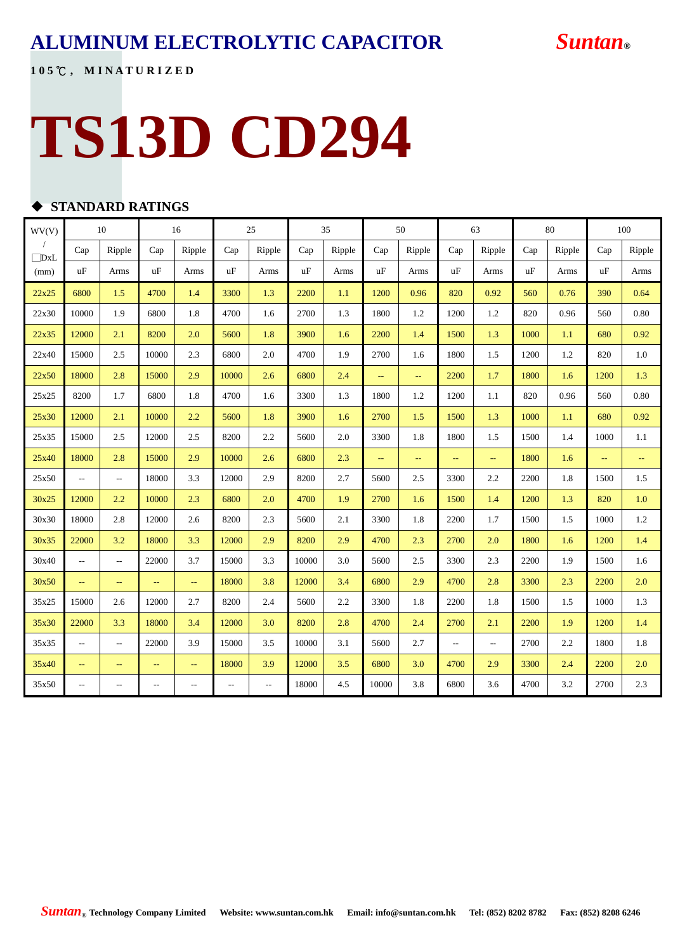# **ALUMINUM ELECTROLYTIC CAPACITOR** *Suntan***®**

**1 0 5** ℃ **, M I N A T U R I Z E D**

# **TS13D CD294**

# **STANDARD RATINGS**

| WV(V)             | 10                       |                          | 16                       |                            | 25                       |                                                     | 35    |        | 50    |               | 63        |                          | 80   |        | $100\,$ |               |
|-------------------|--------------------------|--------------------------|--------------------------|----------------------------|--------------------------|-----------------------------------------------------|-------|--------|-------|---------------|-----------|--------------------------|------|--------|---------|---------------|
| $\sqrt{2}$<br>DxL | Cap                      | Ripple                   | Cap                      | Ripple                     | Cap                      | Ripple                                              | Cap   | Ripple | Cap   | Ripple        | Cap       | Ripple                   | Cap  | Ripple | Cap     | Ripple        |
| (mm)              | uF                       | Arms                     | uF                       | Arms                       | uF                       | Arms                                                | uF    | Arms   | uF    | Arms          | <b>uF</b> | Arms                     | uF   | Arms   | uF      | Arms          |
| 22x25             | 6800                     | 1.5                      | 4700                     | 1.4                        | 3300                     | 1.3                                                 | 2200  | 1.1    | 1200  | 0.96          | 820       | 0.92                     | 560  | 0.76   | 390     | 0.64          |
| 22x30             | 10000                    | 1.9                      | 6800                     | 1.8                        | 4700                     | 1.6                                                 | 2700  | 1.3    | 1800  | 1.2           | 1200      | 1.2                      | 820  | 0.96   | 560     | 0.80          |
| 22x35             | 12000                    | 2.1                      | 8200                     | 2.0                        | 5600                     | 1.8                                                 | 3900  | 1.6    | 2200  | 1.4           | 1500      | 1.3                      | 1000 | 1.1    | 680     | 0.92          |
| 22x40             | 15000                    | 2.5                      | 10000                    | 2.3                        | 6800                     | 2.0                                                 | 4700  | 1.9    | 2700  | 1.6           | 1800      | 1.5                      | 1200 | 1.2    | 820     | 1.0           |
| 22x50             | 18000                    | 2.8                      | 15000                    | 2.9                        | 10000                    | 2.6                                                 | 6800  | 2.4    | 44    | $\rightarrow$ | 2200      | 1.7                      | 1800 | 1.6    | 1200    | 1.3           |
| 25x25             | 8200                     | 1.7                      | 6800                     | 1.8                        | 4700                     | 1.6                                                 | 3300  | 1.3    | 1800  | 1.2           | 1200      | 1.1                      | 820  | 0.96   | 560     | 0.80          |
| 25x30             | 12000                    | 2.1                      | 10000                    | 2.2                        | 5600                     | 1.8                                                 | 3900  | 1.6    | 2700  | 1.5           | 1500      | 1.3                      | 1000 | 1.1    | 680     | 0.92          |
| 25x35             | 15000                    | 2.5                      | 12000                    | 2.5                        | 8200                     | 2.2                                                 | 5600  | 2.0    | 3300  | 1.8           | 1800      | 1.5                      | 1500 | 1.4    | 1000    | 1.1           |
| 25x40             | 18000                    | 2.8                      | 15000                    | 2.9                        | 10000                    | 2.6                                                 | 6800  | 2.3    | 44    | $\rightarrow$ | 44        | $\perp$ .                | 1800 | 1.6    | 44      | $\rightarrow$ |
| 25x50             | $\overline{\phantom{a}}$ | $\overline{\phantom{a}}$ | 18000                    | 3.3                        | 12000                    | 2.9                                                 | 8200  | 2.7    | 5600  | 2.5           | 3300      | 2.2                      | 2200 | 1.8    | 1500    | 1.5           |
| 30x25             | 12000                    | 2.2                      | 10000                    | 2.3                        | 6800                     | 2.0                                                 | 4700  | 1.9    | 2700  | 1.6           | 1500      | 1.4                      | 1200 | 1.3    | 820     | 1.0           |
| 30x30             | 18000                    | 2.8                      | 12000                    | 2.6                        | 8200                     | 2.3                                                 | 5600  | 2.1    | 3300  | 1.8           | 2200      | 1.7                      | 1500 | 1.5    | 1000    | 1.2           |
| 30x35             | 22000                    | 3.2                      | 18000                    | 3.3                        | 12000                    | 2.9                                                 | 8200  | 2.9    | 4700  | 2.3           | 2700      | 2.0                      | 1800 | 1.6    | 1200    | 1.4           |
| 30x40             | $\overline{\phantom{a}}$ | $\overline{\phantom{a}}$ | 22000                    | 3.7                        | 15000                    | 3.3                                                 | 10000 | 3.0    | 5600  | 2.5           | 3300      | 2.3                      | 2200 | 1.9    | 1500    | 1.6           |
| 30x50             | $\rightarrow$            | $\sim$                   | 44                       | $\rightarrow$              | 18000                    | 3.8                                                 | 12000 | 3.4    | 6800  | 2.9           | 4700      | 2.8                      | 3300 | 2.3    | 2200    | 2.0           |
| 35x25             | 15000                    | 2.6                      | 12000                    | 2.7                        | 8200                     | 2.4                                                 | 5600  | 2.2    | 3300  | 1.8           | 2200      | 1.8                      | 1500 | 1.5    | 1000    | 1.3           |
| 35x30             | 22000                    | 3.3                      | 18000                    | 3.4                        | 12000                    | 3.0                                                 | 8200  | 2.8    | 4700  | 2.4           | 2700      | 2.1                      | 2200 | 1.9    | 1200    | 1.4           |
| 35x35             | $\overline{\phantom{a}}$ | $\overline{\phantom{a}}$ | 22000                    | 3.9                        | 15000                    | 3.5                                                 | 10000 | 3.1    | 5600  | 2.7           | $- -$     | $\overline{\phantom{a}}$ | 2700 | 2.2    | 1800    | 1.8           |
| 35x40             | $\overline{\phantom{m}}$ | $\sim$                   | $\mathbb{L} \mathbb{L}$  | $\mathcal{L}(\mathcal{L})$ | 18000                    | 3.9                                                 | 12000 | 3.5    | 6800  | 3.0           | 4700      | 2.9                      | 3300 | 2.4    | 2200    | 2.0           |
| 35x50             | $\overline{\phantom{m}}$ | $\overline{\phantom{a}}$ | $\overline{\phantom{a}}$ | $\overline{\phantom{m}}$   | $\overline{\phantom{m}}$ | $\hspace{0.05cm} -\hspace{0.05cm} -\hspace{0.05cm}$ | 18000 | 4.5    | 10000 | 3.8           | 6800      | 3.6                      | 4700 | 3.2    | 2700    | 2.3           |